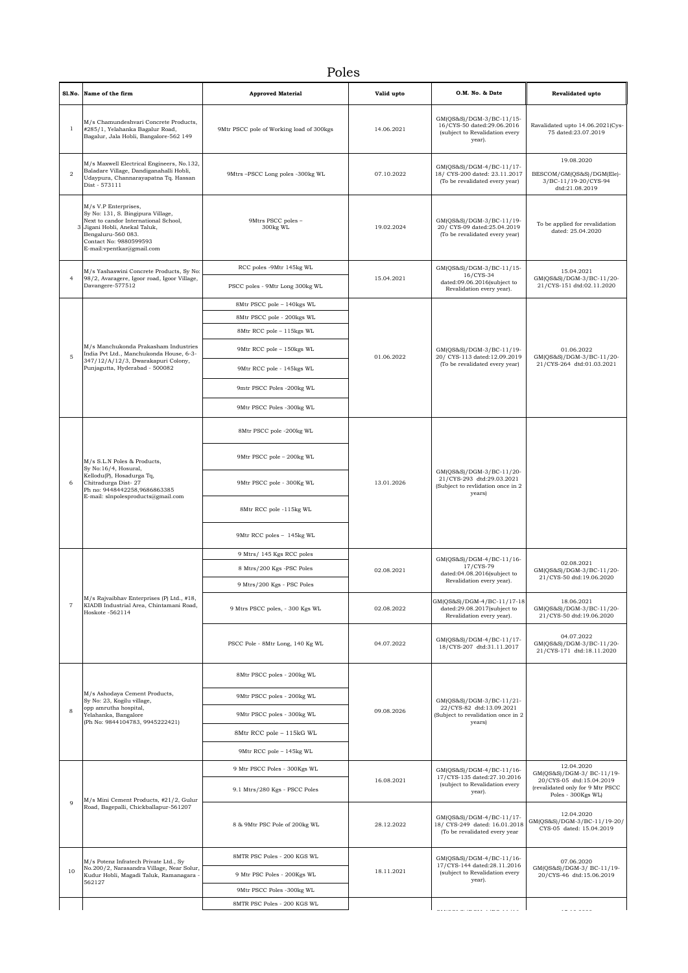## Poles

|                | Sl.No. Name of the firm                                                                                                                                                                                         | <b>Approved Material</b>                 | Valid upto | O.M. No. & Date                                                                                      | <b>Revalidated upto</b>                                                            |
|----------------|-----------------------------------------------------------------------------------------------------------------------------------------------------------------------------------------------------------------|------------------------------------------|------------|------------------------------------------------------------------------------------------------------|------------------------------------------------------------------------------------|
| $\mathbf{1}$   | M/s Chamundeshvari Concrete Products,<br>#285/1, Yelahanka Bagalur Road,<br>Bagalur, Jala Hobli, Bangalore-562 149                                                                                              | 9Mtr PSCC pole of Working load of 300kgs | 14.06.2021 | GM(QS&S)/DGM-3/BC-11/15-<br>16/CYS-50 dated:29.06.2016<br>(subject to Revalidation every<br>year).   | Ravalidated upto 14.06.2021(Cys-<br>75 dated:23.07.2019                            |
| $\overline{2}$ | M/s Maxwell Electrical Engineers, No.132,<br>Baladare Village, Dandiganahalli Hobli,<br>Udaypura, Channarayapatna Tq. Hassan<br>Dist - 573111                                                                   | 9Mtrs -PSCC Long poles -300kg WL         | 07.10.2022 | GM(QS&S)/DGM-4/BC-11/17-<br>18/ CYS-200 dated: 23.11.2017<br>(To be revalidated every year)          | 19.08.2020<br>BESCOM/GM(QS&S)/DGM(Ele)-<br>3/BC-11/19-20/CYS-94<br>dtd:21.08.2019  |
|                | M/s V.P Enterprises,<br>Sy No: 131, S. Bingipura Village,<br>Next to candor International School,<br>3 Jigani Hobli, Anekal Taluk,<br>Bengaluru-560 083.<br>Contact No: 9880599593<br>E-mail:vpentkar@gmail.com | 9Mtrs PSCC poles -<br>300kg WL           | 19.02.2024 | GM(QS&S)/DGM-3/BC-11/19-<br>20/ CYS-09 dated:25.04.2019<br>(To be revalidated every year)            | To be applied for revalidation<br>dated: 25.04.2020                                |
|                | M/s Yashaswini Concrete Products, Sy No:<br>98/2, Avaragere, Igoor road, Igoor Village,<br>Davangere-577512                                                                                                     | RCC poles -9Mtr 145kg WL                 | 15.04.2021 | GM(QS&S)/DGM-3/BC-11/15-<br>16/CYS-34<br>dated:09.06.2016(subject to<br>Revalidation every year).    | 15.04.2021<br>GM(QS&S)/DGM-3/BC-11/20-<br>21/CYS-151 dtd:02.11.2020                |
| $\overline{4}$ |                                                                                                                                                                                                                 | PSCC poles - 9Mtr Long 300kg WL          |            |                                                                                                      |                                                                                    |
|                |                                                                                                                                                                                                                 | 8Mtr PSCC pole - 140kgs WL               |            |                                                                                                      |                                                                                    |
|                |                                                                                                                                                                                                                 | 8Mtr PSCC pole - 200kgs WL               |            |                                                                                                      | 01.06.2022<br>GM(QS&S)/DGM-3/BC-11/20-<br>21/CYS-264 dtd:01.03.2021                |
|                |                                                                                                                                                                                                                 | 8Mtr RCC pole - 115kgs WL                |            |                                                                                                      |                                                                                    |
| 5              | M/s Manchukonda Prakasham Industries<br>India Pvt Ltd., Manchukonda House, 6-3-<br>347/12/A/12/3, Dwarakapuri Colony,                                                                                           | 9Mtr RCC pole - 150kgs WL                | 01.06.2022 | GM(QS&S)/DGM-3/BC-11/19-<br>20/ CYS-113 dated:12.09.2019                                             |                                                                                    |
|                | Punjagutta, Hyderabad - 500082                                                                                                                                                                                  | 9Mtr RCC pole - 145kgs WL                |            | (To be revalidated every year)                                                                       |                                                                                    |
|                |                                                                                                                                                                                                                 | 9mtr PSCC Poles -200kg WL                |            |                                                                                                      |                                                                                    |
|                |                                                                                                                                                                                                                 | 9Mtr PSCC Poles -300kg WL                |            |                                                                                                      |                                                                                    |
|                |                                                                                                                                                                                                                 | 8Mtr PSCC pole -200kg WL                 | 13.01.2026 | GM(QS&S)/DGM-3/BC-11/20-<br>21/CYS-293 dtd:29.03.2021<br>(Subject to revlidation once in 2<br>years) |                                                                                    |
|                | M/s S.L.N Poles & Products,<br>Sy No:16/4, Hosural,<br>Kellodu(P), Hosadurga Tq,<br>Chitradurga Dist-27<br>Ph no: 9448442258,9686863385<br>E-mail: slnpolesproducts@gmail.com                                   | 9Mtr PSCC pole - 200kg WL                |            |                                                                                                      |                                                                                    |
| 6              |                                                                                                                                                                                                                 | 9Mtr PSCC pole - 300Kg WL                |            |                                                                                                      |                                                                                    |
|                |                                                                                                                                                                                                                 | 8Mtr RCC pole -115kg WL                  |            |                                                                                                      |                                                                                    |
|                |                                                                                                                                                                                                                 | 9Mtr RCC poles - 145kg WL                |            |                                                                                                      |                                                                                    |
|                |                                                                                                                                                                                                                 | 9 Mtrs/ 145 Kgs RCC poles                | 02.08.2021 | GM(QS&S)/DGM-4/BC-11/16-<br>17/CYS-79<br>dated:04.08.2016(subject to<br>Revalidation every year).    | 02.08.2021                                                                         |
|                |                                                                                                                                                                                                                 | 8 Mtrs/200 Kgs -PSC Poles                |            |                                                                                                      | GM(QS&S)/DGM-3/BC-11/20-<br>21/CYS-50 dtd:19.06.2020                               |
|                |                                                                                                                                                                                                                 | 9 Mtrs/200 Kgs - PSC Poles               |            |                                                                                                      |                                                                                    |
| $\overline{7}$ | M/s Rajvaibhav Enterprises (P) Ltd., #18,<br>KIADB Industrial Area, Chintamani Road,<br>Hoskote -562114                                                                                                         | 9 Mtrs PSCC poles, - 300 Kgs WL          | 02.08.2022 | GM(QS&S)/DGM-4/BC-11/17-18<br>dated:29.08.2017(subject to<br>Revalidation every year).               | 18.06.2021<br>GM(QS&S)/DGM-3/BC-11/20-<br>21/CYS-50 dtd:19.06.2020                 |
|                |                                                                                                                                                                                                                 | PSCC Pole - 8Mtr Long, 140 Kg WL         | 04.07.2022 | GM(QS&S)/DGM-4/BC-11/17-<br>18/CYS-207 dtd:31.11.2017                                                | 04.07.2022<br>GM(QS&S)/DGM-3/BC-11/20-<br>21/CYS-171 dtd:18.11.2020                |
|                | M/s Ashodaya Cement Products,<br>Sy No: 23, Kogilu village,<br>opp amrutha hospital,<br>Yelahanka, Bangalore<br>(Ph No: 9844104783, 9945222421)                                                                 | 8Mtr PSCC poles - 200kg WL               | 09.08.2026 | GM(QS&S)/DGM-3/BC-11/21-<br>22/CYS-82 dtd:13.09.2021<br>(Subject to revalidation once in 2<br>years) |                                                                                    |
|                |                                                                                                                                                                                                                 | 9Mtr PSCC poles - 200kg WL               |            |                                                                                                      |                                                                                    |
| 8              |                                                                                                                                                                                                                 | 9Mtr PSCC poles - 300kg WL               |            |                                                                                                      |                                                                                    |
|                |                                                                                                                                                                                                                 | 8Mtr RCC pole - 115kG WL                 |            |                                                                                                      |                                                                                    |
|                |                                                                                                                                                                                                                 | 9Mtr RCC pole - 145kg WL                 |            |                                                                                                      |                                                                                    |
|                |                                                                                                                                                                                                                 | 9 Mtr PSCC Poles - 300Kgs WL             | 16.08.2021 | GM(QS&S)/DGM-4/BC-11/16-<br>17/CYS-135 dated:27.10.2016<br>(subject to Revalidation every<br>year).  | 12.04.2020<br>GM(QS&S)/DGM-3/ BC-11/19-                                            |
| 9              | M/s Mini Cement Products, #21/2, Gulur<br>Road, Bagepalli, Chickballapur-561207                                                                                                                                 | 9.1 Mtrs/280 Kgs - PSCC Poles            |            |                                                                                                      | 20/CYS-05 dtd:15.04.2019<br>(revalidated only for 9 Mtr PSCC<br>Poles - 300Kgs WL) |
|                |                                                                                                                                                                                                                 | 8 & 9Mtr PSC Pole of 200kg WL            | 28.12.2022 | GM(QS&S)/DGM-4/BC-11/17-<br>18/ CYS-249 dated: 16.01.2018<br>(To be revalidated every year           | 12.04.2020<br>GM(QS&S)/DGM-3/BC-11/19-20/<br>CYS-05 dated: 15.04.2019              |
|                | M/s Potenz Infratech Private Ltd., Sy                                                                                                                                                                           | 8MTR PSC Poles - 200 KGS WL              | 18.11.2021 | GM(QS&S)/DGM-4/BC-11/16-<br>17/CYS-144 dated:28.11.2016<br>(subject to Revalidation every<br>year).  | 07.06.2020<br>GM(QS&S)/DGM-3/ BC-11/19-<br>20/CYS-46 dtd:15.06.2019                |
| 10             | No.200/2, Narasandra Village, Near Solur,<br>Kudur Hobli, Magadi Taluk, Ramanagara -                                                                                                                            | 9 Mtr PSC Poles - 200Kgs WL              |            |                                                                                                      |                                                                                    |
|                | 562127                                                                                                                                                                                                          | 9Mtr PSCC Poles -300kg WL                |            |                                                                                                      |                                                                                    |
|                |                                                                                                                                                                                                                 | 8MTR PSC Poles - 200 KGS WL              |            |                                                                                                      |                                                                                    |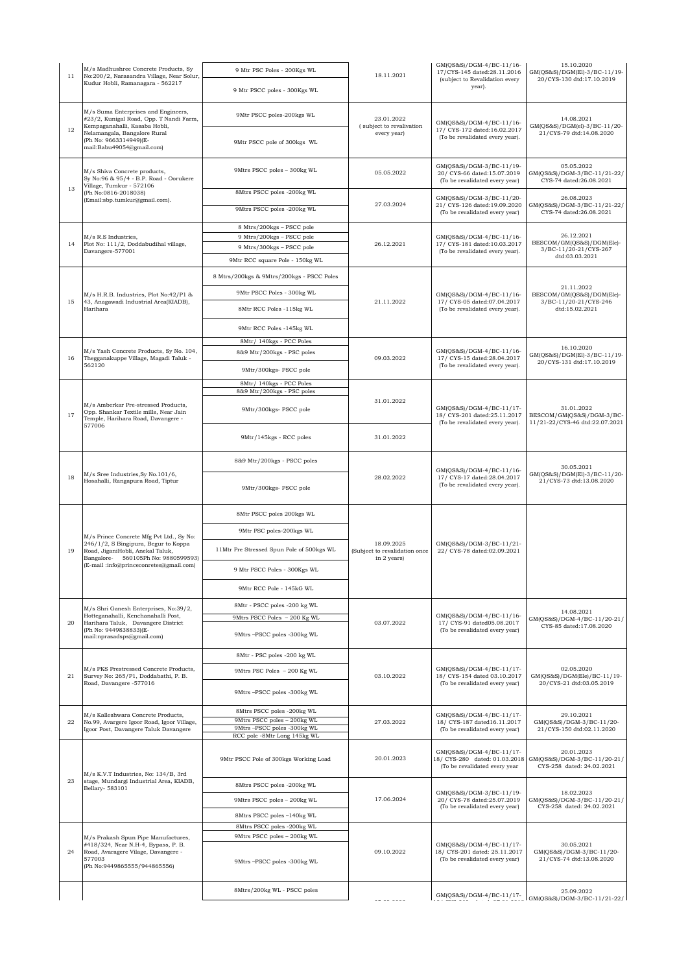| 11 | M/s Madhushree Concrete Products, Sy<br>No:200/2, Narasandra Village, Near Solur,                                                                                                                      | 9 Mtr PSC Poles - 200Kgs WL                                             | 18.11.2021                                                 | GM(QS&S)/DGM-4/BC-11/16-<br>17/CYS-145 dated:28.11.2016<br>(subject to Revalidation every   | 15.10.2020<br>GM(QS&S)/DGM(El)-3/BC-11/19-<br>20/CYS-130 dtd:17.10.2019            |
|----|--------------------------------------------------------------------------------------------------------------------------------------------------------------------------------------------------------|-------------------------------------------------------------------------|------------------------------------------------------------|---------------------------------------------------------------------------------------------|------------------------------------------------------------------------------------|
|    | Kudur Hobli, Ramanagara - 562217                                                                                                                                                                       | 9 Mtr PSCC poles - 300Kgs WL                                            |                                                            | year).                                                                                      |                                                                                    |
| 12 | M/s Suma Enterprises and Engineers,<br>#23/2, Kunigal Road, Opp. T Nandi Farm,<br>Kempaganahalli, Kasaba Hobli,<br>Nelamangala, Bangalore Rural<br>(Ph No: 9663314949)(E-<br>mail:Babu49054@gmail.com) | 9Mtr PSCC poles-200kgs WL                                               | 23.01.2022<br>(subject to revalivation<br>every year)      | GM(QS&S)/DGM-4/BC-11/16-<br>17/ CYS-172 dated:16.02.2017<br>(To be revalidated every year). | 14.08.2021<br>GM(QS&S)/DGM(el)-3/BC-11/20-                                         |
|    |                                                                                                                                                                                                        | 9Mtr PSCC pole of 300kgs WL                                             |                                                            |                                                                                             | 21/CYS-79 dtd:14.08.2020                                                           |
|    | M/s Shiva Concrete products,<br>Sy No:96 & 95/4 - B.P. Road - Oorukere<br>Village, Tumkur - 572106<br>(Ph No:0816-2018038)<br>(Email:sbp.tumkur@gmail.com).                                            | 9Mtrs PSCC poles - 300kg WL                                             | 05.05.2022                                                 | GM(QS&S)/DGM-3/BC-11/19-<br>20/ CYS-66 dated:15.07.2019<br>(To be revalidated every year)   | 05.05.2022<br>GM(QS&S)/DGM-3/BC-11/21-22/<br>CYS-74 dated:26.08.2021               |
| 13 |                                                                                                                                                                                                        | 8Mtrs PSCC poles -200kg WL                                              | 27.03.2024                                                 | GM(QS&S)/DGM-3/BC-11/20-<br>21/ CYS-126 dated:19.09.2020<br>(To be revalidated every year)  | 26.08.2023<br>GM(QS&S)/DGM-3/BC-11/21-22/<br>CYS-74 dated:26.08.2021               |
|    |                                                                                                                                                                                                        | 9Mtrs PSCC poles -200kg WL                                              |                                                            |                                                                                             |                                                                                    |
|    | M/s R.S Industries,<br>Plot No: 111/2, Doddabudihal village,<br>Davangere-577001                                                                                                                       | 8 Mtrs/200kgs - PSCC pole                                               | 26.12.2021                                                 | GM(QS&S)/DGM-4/BC-11/16-<br>17/ CYS-181 dated:10.03.2017<br>(To be revalidated every year). | 26.12.2021                                                                         |
| 14 |                                                                                                                                                                                                        | 9 Mtrs/200kgs - PSCC pole<br>9 Mtrs/300kgs - PSCC pole                  |                                                            |                                                                                             | BESCOM/GM(QS&S)/DGM(Ele)-<br>3/BC-11/20-21/CYS-267                                 |
|    |                                                                                                                                                                                                        | 9Mtr RCC square Pole - 150kg WL                                         |                                                            |                                                                                             | dtd:03.03.2021                                                                     |
|    |                                                                                                                                                                                                        |                                                                         |                                                            |                                                                                             |                                                                                    |
|    |                                                                                                                                                                                                        | 8 Mtrs/200kgs & 9Mtrs/200kgs - PSCC Poles<br>9Mtr PSCC Poles - 300kg WL |                                                            |                                                                                             | 21.11.2022<br>BESCOM/GM(QS&S)/DGM(Ele)-<br>3/BC-11/20-21/CYS-246<br>dtd:15.02.2021 |
| 15 | M/s H.R.B. Industries, Plot No:42/P1 &<br>43, Anagawadi Industrial Area(KIADB),                                                                                                                        |                                                                         | 21.11.2022                                                 | GM(QS&S)/DGM-4/BC-11/16-<br>17/ CYS-05 dated:07.04.2017<br>(To be revalidated every year).  |                                                                                    |
|    | Harihara                                                                                                                                                                                               | 8Mtr RCC Poles -115kg WL                                                |                                                            |                                                                                             |                                                                                    |
|    |                                                                                                                                                                                                        | 9Mtr RCC Poles -145kg WL<br>8Mtr/ 140kgs - PCC Poles                    |                                                            |                                                                                             |                                                                                    |
| 16 | M/s Yash Concrete Products, Sy No. 104,                                                                                                                                                                | 8&9 Mtr/200kgs - PSC poles                                              | 09.03.2022                                                 | GM(QS&S)/DGM-4/BC-11/16-                                                                    | 16.10.2020<br>GM(QS&S)/DGM(El)-3/BC-11/19-<br>20/CYS-131 dtd:17.10.2019            |
|    | Thegganakuppe Village, Magadi Taluk -<br>562120                                                                                                                                                        | 9Mtr/300kgs- PSCC pole                                                  |                                                            | 17/ CYS-15 dated:28.04.2017<br>(To be revalidated every year).                              |                                                                                    |
|    |                                                                                                                                                                                                        | 8Mtr/ 140kgs - PCC Poles                                                |                                                            |                                                                                             |                                                                                    |
|    |                                                                                                                                                                                                        | 8&9 Mtr/200kgs - PSC poles                                              | 31.01.2022                                                 | GM(QS&S)/DGM-4/BC-11/17-<br>18/ CYS-201 dated:25.11.2017<br>(To be revalidated every year). |                                                                                    |
| 17 | M/s Amberkar Pre-stressed Products,<br>Opp. Shankar Textile mills, Near Jain<br>Temple, Harihara Road, Davangere -                                                                                     | 9Mtr/300kgs- PSCC pole                                                  |                                                            |                                                                                             | 31.01.2022<br>BESCOM/GM(QS&S)/DGM-3/BC-<br>11/21-22/CYS-46 dtd:22.07.2021          |
|    | 577006                                                                                                                                                                                                 | 9Mtr/145kgs - RCC poles                                                 | 31.01.2022                                                 |                                                                                             |                                                                                    |
|    | M/s Sree Industries, Sy No. 101/6,<br>Hosahalli, Rangapura Road, Tiptur                                                                                                                                | 8&9 Mtr/200kgs - PSCC poles                                             | 28.02.2022                                                 | GM(QS&S)/DGM-4/BC-11/16-<br>17/ CYS-17 dated:28.04.2017<br>(To be revalidated every year).  | 30.05.2021<br>GM(QS&S)/DGM(El)-3/BC-11/20-<br>21/CYS-73 dtd:13.08.2020             |
| 18 |                                                                                                                                                                                                        | 9Mtr/300kgs- PSCC pole                                                  |                                                            |                                                                                             |                                                                                    |
|    | M/s Prince Concrete Mfg Pvt Ltd., Sy No:<br>246/1/2, S Bingipura, Begur to Koppa<br>Road, JiganiHobli, Anekal Taluk,<br>Bangalore- 560105Ph No: 9880599593)                                            | 8Mtr PSCC poles 200kgs WL                                               | 18.09.2025<br>(Subject to revalidation once<br>in 2 years) | GM(QS&S)/DGM-3/BC-11/21-<br>22/ CYS-78 dated:02.09.2021                                     |                                                                                    |
|    |                                                                                                                                                                                                        | 9Mtr PSC poles-200kgs WL                                                |                                                            |                                                                                             |                                                                                    |
| 19 |                                                                                                                                                                                                        | 11Mtr Pre Stressed Spun Pole of 500kgs WL                               |                                                            |                                                                                             |                                                                                    |
|    | (E-mail:info@princeconretes@gmail.com)                                                                                                                                                                 | 9 Mtr PSCC Poles - 300Kgs WL                                            |                                                            |                                                                                             |                                                                                    |
|    |                                                                                                                                                                                                        | 9Mtr RCC Pole - 145kG WL                                                |                                                            |                                                                                             |                                                                                    |
|    | M/s Shri Ganesh Enterprises, No:39/2,<br>Hotteganahalli, Kenchanahalli Post,<br>Harihara Taluk, Davangere District<br>(Ph No: 9449838833)(E-<br>mail:nprasadsps@gmail.com)                             | 8Mtr - PSCC poles -200 kg WL                                            | 03.07.2022                                                 | GM(QS&S)/DGM-4/BC-11/16-<br>17/ CYS-91 dated05.08.2017<br>(To be revalidated every year)    |                                                                                    |
| 20 |                                                                                                                                                                                                        | 9Mtrs PSCC Poles - 200 Kg WL                                            |                                                            |                                                                                             | 14.08.2021<br>GM(QS&S)/DGM-4/BC-11/20-21/<br>CYS-85 dated:17.08.2020               |
|    |                                                                                                                                                                                                        | 9Mtrs-PSCC poles -300kg WL                                              |                                                            |                                                                                             |                                                                                    |
|    |                                                                                                                                                                                                        | 8Mtr - PSC poles -200 kg WL                                             |                                                            |                                                                                             |                                                                                    |
| 21 | M/s PKS Prestressed Concrete Products,<br>Survey No: 265/P1, Doddabathi, P. B.<br>Road, Davangere -577016                                                                                              | 9Mtrs PSC Poles - 200 Kg WL                                             | 03.10.2022                                                 | GM(OS&S)/DGM-4/BC-11/17-<br>18/ CYS-154 dated 03.10.2017<br>(To be revalidated every year)  | 02.05.2020<br>GM(QS&S)/DGM(Ele)/BC-11/19-                                          |
|    |                                                                                                                                                                                                        | 9Mtrs -PSCC poles -300kg WL                                             |                                                            |                                                                                             | 20/CYS-21 dtd:03.05.2019                                                           |
|    | M/s Kalleshwara Concrete Products,                                                                                                                                                                     | 8Mtrs PSCC poles -200kg WL                                              |                                                            | GM(QS&S)/DGM-4/BC-11/17-<br>18/ CYS-187 dated16.11.2017<br>(To be revalidated every year)   | 29.10.2021                                                                         |
| 22 | No.99, Avargere Igoor Road, Igoor Village,<br>Igoor Post, Davangere Taluk Davangere                                                                                                                    | 9Mtrs PSCC poles - 200kg WL<br>9Mtrs-PSCC poles -300kg WL               | 27.03.2022                                                 |                                                                                             | GM(QS&S)/DGM-3/BC-11/20-<br>21/CYS-150 dtd:02.11.2020                              |
|    |                                                                                                                                                                                                        | RCC pole -8Mtr Long 145kg WL                                            |                                                            |                                                                                             |                                                                                    |
| 23 | M/s K.V.T Industries, No: 134/B, 3rd<br>stage, Mundargi Industrial Area, KIADB,<br>Bellary- 583101                                                                                                     | 9Mtr PSCC Pole of 300kgs Working Load                                   | 20.01.2023                                                 | GM(QS&S)/DGM-4/BC-11/17-<br>18/ CYS-280 dated: 01.03.2018<br>(To be revalidated every year  | 20.01.2023<br>GM(QS&S)/DGM-3/BC-11/20-21/<br>CYS-258 dated: 24.02.2021             |
|    |                                                                                                                                                                                                        | 8Mtrs PSCC poles -200kg WL                                              | 17.06.2024                                                 | GM(QS&S)/DGM-3/BC-11/19-<br>20/ CYS-78 dated:25.07.2019<br>(To be revalidated every year)   | 18.02.2023<br>GM(QS&S)/DGM-3/BC-11/20-21/<br>CYS-258 dated: 24.02.2021             |
|    |                                                                                                                                                                                                        | 9Mtrs PSCC poles - 200kg WL                                             |                                                            |                                                                                             |                                                                                    |
|    |                                                                                                                                                                                                        | 8Mtrs PSCC poles -140kg WL                                              |                                                            |                                                                                             |                                                                                    |
|    | M/s Prakash Spun Pipe Manufactures,<br>#418/324, Near N.H-4, Bypass, P. B.<br>Road, Avaragere Vilage, Davangere -<br>577003<br>(Ph No:9449865555/944865556)                                            | 8Mtrs PSCC poles -200kg WL<br>9Mtrs PSCC poles - 200kg WL               | 09.10.2022                                                 | GM(QS&S)/DGM-4/BC-11/17-<br>18/ CYS-201 dated: 25.11.2017<br>(To be revalidated every year) |                                                                                    |
| 24 |                                                                                                                                                                                                        | 9Mtrs-PSCC poles -300kg WL                                              |                                                            |                                                                                             | 30.05.2021<br>GM(QS&S)/DGM-3/BC-11/20-<br>21/CYS-74 dtd:13.08.2020                 |
|    |                                                                                                                                                                                                        | 8Mtrs/200kg WL - PSCC poles                                             |                                                            |                                                                                             | 25.09.2022                                                                         |
|    |                                                                                                                                                                                                        |                                                                         |                                                            |                                                                                             | $GM(QS\&S)/DGM-4/BC-11/17- \Bigg[ G M IOS\&S I/DG M-3/RC-11/21-22/$                |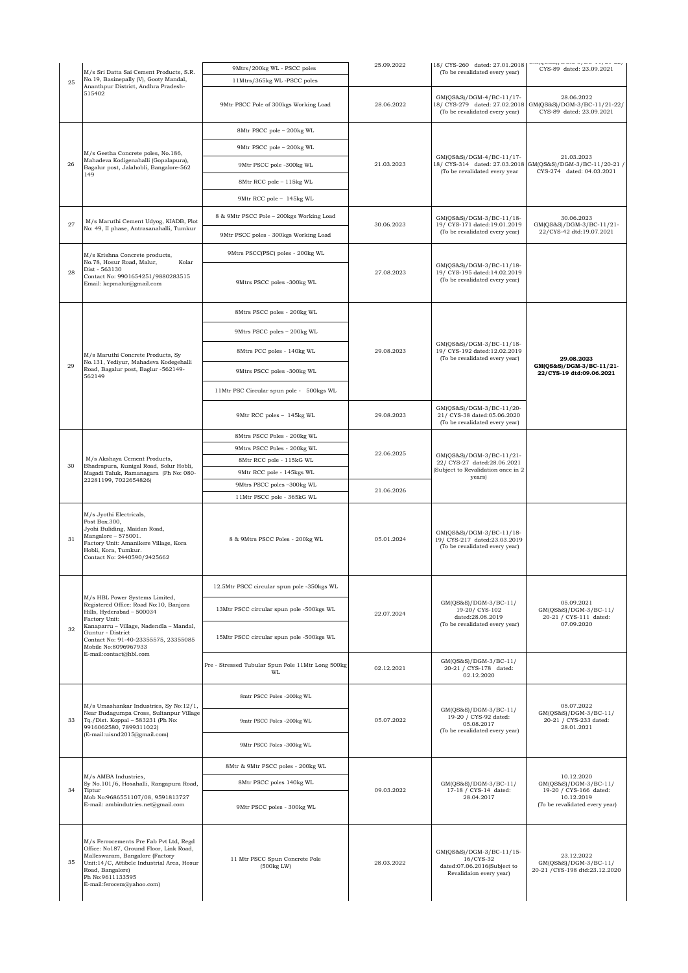|    |                                                                                                                                                                                                                                                                                  | 9Mtrs/200kg WL - PSCC poles                                | 25.09.2022 | 18/ CYS-260 dated: 27.01.2018<br>(To be revalidated every year)                                                                           | الحصارية الممحم وربستموريما<br>CYS-89 dated: 23.09.2021                                               |
|----|----------------------------------------------------------------------------------------------------------------------------------------------------------------------------------------------------------------------------------------------------------------------------------|------------------------------------------------------------|------------|-------------------------------------------------------------------------------------------------------------------------------------------|-------------------------------------------------------------------------------------------------------|
| 25 | M/s Sri Datta Sai Cement Products, S.R.<br>No.19, Basinepally (V), Gooty Mandal,<br>Ananthpur District, Andhra Pradesh-<br>515402                                                                                                                                                | 11Mtrs/365kg WL-PSCC poles                                 |            |                                                                                                                                           |                                                                                                       |
|    |                                                                                                                                                                                                                                                                                  | 9Mtr PSCC Pole of 300kgs Working Load                      | 28.06.2022 | GM(QS&S)/DGM-4/BC-11/17-<br>18/ CYS-279 dated: 27.02.2018<br>(To be revalidated every year)                                               | 28.06.2022<br>GM(QS&S)/DGM-3/BC-11/21-22/<br>CYS-89 dated: 23.09.2021                                 |
|    |                                                                                                                                                                                                                                                                                  | 8Mtr PSCC pole - 200kg WL                                  |            |                                                                                                                                           |                                                                                                       |
| 26 | M/s Geetha Concrete poles, No.186,<br>Mahadeva Kodigenahalli (Gopalapura),<br>Bagalur post, Jalahobli, Bangalore-562<br>149                                                                                                                                                      | 9Mtr PSCC pole - 200kg WL                                  |            |                                                                                                                                           |                                                                                                       |
|    |                                                                                                                                                                                                                                                                                  |                                                            | 21.03.2023 | GM(QS&S)/DGM-4/BC-11/17-<br>(To be revalidated every year                                                                                 | 21.03.2023<br>18/ CYS-314 dated: 27.03.2018 GM(QS&S)/DGM-3/BC-11/20-21 /<br>CYS-274 dated: 04.03.2021 |
|    |                                                                                                                                                                                                                                                                                  | 9Mtr PSCC pole -300kg WL                                   |            |                                                                                                                                           |                                                                                                       |
|    |                                                                                                                                                                                                                                                                                  | 8Mtr RCC pole - 115kg WL                                   |            |                                                                                                                                           |                                                                                                       |
|    |                                                                                                                                                                                                                                                                                  | 9Mtr RCC pole - 145kg WL                                   |            |                                                                                                                                           |                                                                                                       |
| 27 | M/s Maruthi Cement Udyog, KIADB, Plot<br>No: 49, II phase, Antrasanahalli, Tumkur                                                                                                                                                                                                | 8 & 9Mtr PSCC Pole - 200kgs Working Load                   |            | GM(QS&S)/DGM-3/BC-11/18-                                                                                                                  | 30.06.2023<br>GM(QS&S)/DGM-3/BC-11/21-                                                                |
|    |                                                                                                                                                                                                                                                                                  | 9Mtr PSCC poles - 300kgs Working Load                      | 30.06.2023 | 19/ CYS-171 dated:19.01.2019<br>(To be revalidated every year)                                                                            | 22/CYS-42 dtd:19.07.2021                                                                              |
|    | M/s Krishna Concrete products,<br>No.78, Hosur Road, Malur,<br>Kolar<br>Dist - 563130<br>Contact No: 9901654251/9880283515<br>Email: kcpmalur@gmail.com                                                                                                                          | 9Mtrs PSCC(PSC) poles - 200kg WL                           | 27.08.2023 |                                                                                                                                           |                                                                                                       |
| 28 |                                                                                                                                                                                                                                                                                  | 9Mtrs PSCC poles -300kg WL                                 |            | GM(QS&S)/DGM-3/BC-11/18-<br>19/ CYS-195 dated:14.02.2019<br>(To be revalidated every year)                                                |                                                                                                       |
|    |                                                                                                                                                                                                                                                                                  | 8Mtrs PSCC poles - 200kg WL                                |            |                                                                                                                                           |                                                                                                       |
|    |                                                                                                                                                                                                                                                                                  | 9Mtrs PSCC poles - 200kg WL                                |            |                                                                                                                                           |                                                                                                       |
|    | M/s Maruthi Concrete Products, Sy                                                                                                                                                                                                                                                | 8Mtrs PCC poles - 140kg WL                                 | 29.08.2023 | GM(QS&S)/DGM-3/BC-11/18-<br>19/ CYS-192 dated:12.02.2019                                                                                  |                                                                                                       |
| 29 | No.131, Yediyur, Mahadeva Kodegehalli<br>Road, Bagalur post, Baglur -562149-                                                                                                                                                                                                     | 9Mtrs PSCC poles -300kg WL                                 |            | (To be revalidated every year)                                                                                                            | 29.08.2023<br>GM(QS&S)/DGM-3/BC-11/21-<br>22/CYS-19 dtd:09.06.2021                                    |
|    | 562149                                                                                                                                                                                                                                                                           | 11Mtr PSC Circular spun pole - 500kgs WL                   |            |                                                                                                                                           |                                                                                                       |
|    |                                                                                                                                                                                                                                                                                  | 9Mtr RCC poles - 145kg WL                                  | 29.08.2023 | GM(QS&S)/DGM-3/BC-11/20-<br>21/ CYS-38 dated:05.06.2020                                                                                   |                                                                                                       |
|    |                                                                                                                                                                                                                                                                                  |                                                            |            | (To be revalidated every year)<br>GM(QS&S)/DGM-3/BC-11/21-<br>22/ CYS-27 dated:28.06.2021<br>(Subject to Revalidation once in 2<br>years) |                                                                                                       |
|    |                                                                                                                                                                                                                                                                                  | 8Mtrs PSCC Poles - 200kg WL<br>9Mtrs PSCC Poles - 200kg WL |            |                                                                                                                                           |                                                                                                       |
|    | M/s Akshaya Cement Products,<br>Bhadrapura, Kunigal Road, Solur Hobli,<br>Magadi Taluk, Ramanagara (Ph No: 080-<br>22281199, 7022654826)                                                                                                                                         | 8Mtr RCC pole - 115kG WL                                   | 22.06.2025 |                                                                                                                                           |                                                                                                       |
| 30 |                                                                                                                                                                                                                                                                                  | 9Mtr RCC pole - 145kgs WL                                  |            |                                                                                                                                           |                                                                                                       |
|    |                                                                                                                                                                                                                                                                                  | 9Mtrs PSCC poles -300kg WL                                 | 21.06.2026 |                                                                                                                                           |                                                                                                       |
|    |                                                                                                                                                                                                                                                                                  | 11Mtr PSCC pole - 365kG WL                                 |            |                                                                                                                                           |                                                                                                       |
| 31 | M/s Jyothi Electricals,<br>Post Box.300,<br>Jyohi Buliding, Maidan Road,<br>Mangalore - 575001.<br>Factory Unit: Amanikere Village, Kora<br>Hobli, Kora, Tumkur.<br>Contact No: 2440590/2425662                                                                                  | 8 & 9Mtrs PSCC Poles - 200kg WL                            | 05.01.2024 | GM(QS&S)/DGM-3/BC-11/18-<br>19/ CYS-217 dated:23.03.2019<br>(To be revalidated every year)                                                |                                                                                                       |
|    |                                                                                                                                                                                                                                                                                  | 12.5Mtr PSCC circular spun pole -350kgs WL                 | 22.07.2024 | GM(QS&S)/DGM-3/BC-11/<br>19-20/ CYS-102<br>dated:28.08.2019<br>(To be revalidated every year)                                             |                                                                                                       |
|    | M/s HBL Power Systems Limited,<br>Registered Office: Road No:10, Banjara<br>Hills, Hyderabad - 500034<br>Factory Unit:<br>Kanaparru - Village, Nadendla - Mandal,<br>Guntur - District<br>Contact No: 91-40-23355575, 23355085<br>Mobile No:8096967933<br>E-mail:contact@hbl.com | 13Mtr PSCC circular spun pole -500kgs WL                   |            |                                                                                                                                           | 05.09.2021<br>GM(QS&S)/DGM-3/BC-11/<br>20-21 / CYS-111 dated:                                         |
| 32 |                                                                                                                                                                                                                                                                                  | 15Mtr PSCC circular spun pole -500kgs WL                   |            |                                                                                                                                           | 07.09.2020                                                                                            |
|    |                                                                                                                                                                                                                                                                                  | Pre - Stressed Tubular Spun Pole 11Mtr Long 500kg<br>WL    | 02.12.2021 | GM(QS&S)/DGM-3/BC-11/<br>20-21 / CYS-178 dated:<br>02.12.2020                                                                             |                                                                                                       |
|    | M/s Umashankar Industries, Sy No:12/1,<br>Near Budagumpa Cross, Sultanpur Village<br>Tq./Dist. Koppal - 583231 (Ph No:<br>9916062580, 7899311022)<br>(E-mail:uisnd2015@gmail.com)                                                                                                | 8mtr PSCC Poles -200kg WL                                  | 05.07.2022 | GM(QS&S)/DGM-3/BC-11/<br>19-20 / CYS-92 dated:<br>05.08.2017<br>(To be revalidated every year)                                            |                                                                                                       |
| 33 |                                                                                                                                                                                                                                                                                  | 9mtr PSCC Poles -200kg WL                                  |            |                                                                                                                                           | 05.07.2022<br>GM(QS&S)/DGM-3/BC-11/<br>20-21 / CYS-233 dated:<br>28.01.2021                           |
|    |                                                                                                                                                                                                                                                                                  | 9Mtr PSCC Poles -300kg WL                                  |            |                                                                                                                                           |                                                                                                       |
| 34 | M/s AMBA Industries,<br>Sy No.101/6, Hosahalli, Rangapura Road,<br>Tiptur<br>Mob No:9686551107/08, 9591813727<br>E-mail: ambindutries.net@gmail.com                                                                                                                              | 8Mtr & 9Mtr PSCC poles - 200kg WL                          | 09.03.2022 | GM(QS&S)/DGM-3/BC-11/<br>17-18 / CYS-14 dated:<br>28.04.2017                                                                              |                                                                                                       |
|    |                                                                                                                                                                                                                                                                                  | 8Mtr PSCC poles 140kg WL                                   |            |                                                                                                                                           | 10.12.2020<br>GM(QS&S)/DGM-3/BC-11/                                                                   |
|    |                                                                                                                                                                                                                                                                                  | 9Mtr PSCC poles - 300kg WL                                 |            |                                                                                                                                           | 19-20 / CYS-166 dated:<br>10.12.2019<br>(To be revalidated every year)                                |
| 35 | M/s Ferrocements Pre Fab Pvt Ltd, Regd<br>Office: No187, Ground Floor, Link Road,<br>Malleswaram, Bangalore (Factory<br>Unit:14/C, Attibele Industrial Area, Hosur<br>Road, Bangalore)<br>Ph No:9611133595<br>E-mail:ferocem@yahoo.com)                                          | 11 Mtr PSCC Spun Concrete Pole<br>(500kg LW)               | 28.03.2022 | GM(QS&S)/DGM-3/BC-11/15-<br>16/CYS-32<br>dated:07.06.2016(Subject to<br>Revalidaion every year)                                           | 23.12.2022<br>GM(QS&S)/DGM-3/BC-11/<br>20-21 / CYS-198 dtd:23.12.2020                                 |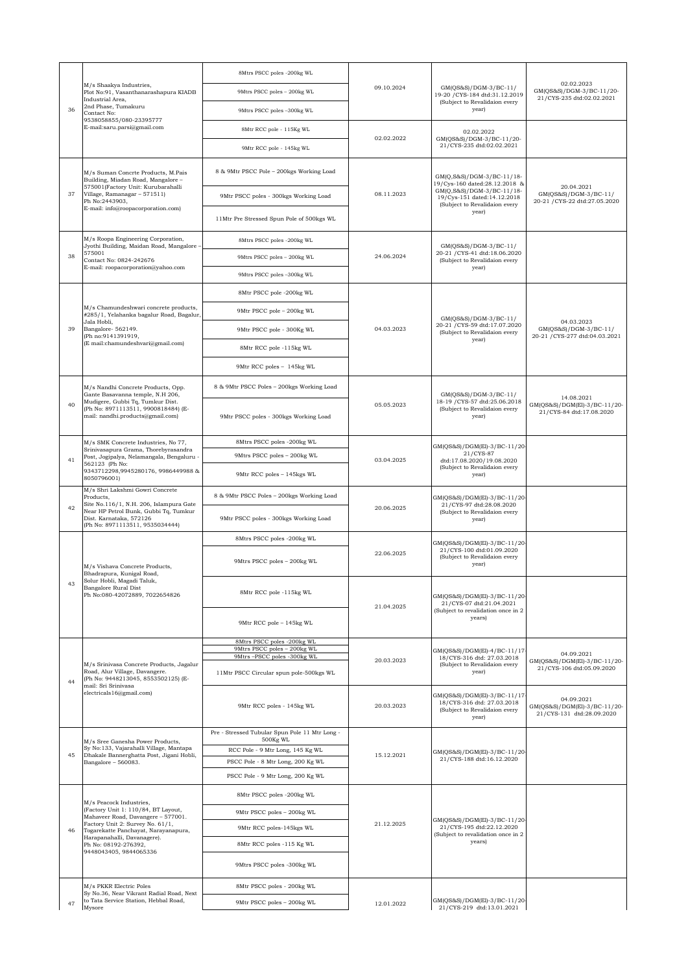|    | M/s Shaakya Industries,<br>Plot No:91, Vasanthanarashapura KIADB<br>Industrial Area,<br>2nd Phase, Tumakuru<br>Contact No:                                                                                                                                        | 8Mtrs PSCC poles -200kg WL                                 | 09.10.2024 | GM(QS&S)/DGM-3/BC-11/<br>19-20 / CYS-184 dtd:31.12.2019<br>(Subject to Revalidaion every<br>year)                                                                |                                                                         |
|----|-------------------------------------------------------------------------------------------------------------------------------------------------------------------------------------------------------------------------------------------------------------------|------------------------------------------------------------|------------|------------------------------------------------------------------------------------------------------------------------------------------------------------------|-------------------------------------------------------------------------|
| 36 |                                                                                                                                                                                                                                                                   | 9Mtrs PSCC poles - 200kg WL                                |            |                                                                                                                                                                  | 02.02.2023<br>GM(QS&S)/DGM-3/BC-11/20-<br>21/CYS-235 dtd:02.02.2021     |
|    |                                                                                                                                                                                                                                                                   | 9Mtrs PSCC poles -300kg WL                                 |            |                                                                                                                                                                  |                                                                         |
|    | 9538058855/080-23395777<br>E-mail:saru.parsi@gmail.com                                                                                                                                                                                                            | 8Mtr RCC pole - 115Kg WL                                   | 02.02.2022 | 02.02.2022<br>GM(QS&S)/DGM-3/BC-11/20-<br>21/CYS-235 dtd:02.02.2021                                                                                              |                                                                         |
|    |                                                                                                                                                                                                                                                                   | 9Mtr RCC pole - 145kg WL                                   |            |                                                                                                                                                                  |                                                                         |
|    |                                                                                                                                                                                                                                                                   | 8 & 9Mtr PSCC Pole - 200kgs Working Load                   |            |                                                                                                                                                                  |                                                                         |
|    | M/s Suman Concrte Products, M.Pais<br>Building, Miadan Road, Mangalore -<br>575001(Factory Unit: Kurubarahalli                                                                                                                                                    |                                                            | 08.11.2023 | GM(Q,S&S)/DGM-3/BC-11/18-<br>19/Cys-160 dated:28.12.2018 &<br>GM(Q,S&S)/DGM-3/BC-11/18-<br>19/Cys-151 dated:14.12.2018<br>(Subject to Revalidaion every<br>year) | 20.04.2021                                                              |
| 37 | Village, Ramanagar - 571511)<br>Ph No:2443903,<br>E-mail: info@roopacorporation.com)                                                                                                                                                                              | 9Mtr PSCC poles - 300kgs Working Load                      |            |                                                                                                                                                                  | GM(QS&S)/DGM-3/BC-11/<br>20-21 / CYS-22 dtd:27.05.2020                  |
|    |                                                                                                                                                                                                                                                                   | 11Mtr Pre Stressed Spun Pole of 500kgs WL                  |            |                                                                                                                                                                  |                                                                         |
|    | M/s Roopa Engineering Corporation,<br>Jyothi Building, Maidan Road, Mangalore<br>575001<br>Contact No: 0824-242676                                                                                                                                                | 8Mtrs PSCC poles -200kg WL                                 | 24.06.2024 | GM(QS&S)/DGM-3/BC-11/<br>20-21 / CYS-41 dtd:18.06.2020<br>(Subject to Revalidaion every<br>year)                                                                 |                                                                         |
| 38 |                                                                                                                                                                                                                                                                   | 9Mtrs PSCC poles - 200kg WL                                |            |                                                                                                                                                                  |                                                                         |
|    | E-mail: roopacorporation@yahoo.com                                                                                                                                                                                                                                | 9Mtrs PSCC poles -300kg WL                                 |            |                                                                                                                                                                  |                                                                         |
|    |                                                                                                                                                                                                                                                                   | 8Mtr PSCC pole -200kg WL                                   |            |                                                                                                                                                                  |                                                                         |
|    | M/s Chamundeshwari concrete products,<br>#285/1, Yelahanka bagalur Road, Bagalur,                                                                                                                                                                                 | 9Mtr PSCC pole - 200kg WL                                  |            | GM(QS&S)/DGM-3/BC-11/                                                                                                                                            |                                                                         |
| 39 | Jala Hobli,<br>Bangalore-562149.<br>(Ph no:9141391919,                                                                                                                                                                                                            | 9Mtr PSCC pole - 300Kg WL                                  | 04.03.2023 | 20-21 / CYS-59 dtd:17.07.2020<br>(Subject to Revalidaion every                                                                                                   | 04.03.2023<br>GM(QS&S)/DGM-3/BC-11/<br>20-21 / CYS-277 dtd:04.03.2021   |
|    | (E mail:chamundeshvari@gmail.com)                                                                                                                                                                                                                                 | 8Mtr RCC pole -115kg WL                                    |            | year)                                                                                                                                                            |                                                                         |
|    |                                                                                                                                                                                                                                                                   | 9Mtr RCC poles - 145kg WL                                  |            |                                                                                                                                                                  |                                                                         |
|    | M/s Nandhi Concrete Products, Opp.                                                                                                                                                                                                                                | 8 & 9Mtr PSCC Poles - 200kgs Working Load                  |            |                                                                                                                                                                  |                                                                         |
| 40 | Gante Basavanna temple, N.H 206,<br>Mudigere, Gubbi Tq, Tumkur Dist.                                                                                                                                                                                              |                                                            | 05.05.2023 | GM(QS&S)/DGM-3/BC-11/<br>18-19 / CYS-57 dtd:25.06.2018<br>(Subject to Revalidaion every<br>year)                                                                 | 14.08.2021<br>GM(QS&S)/DGM(El)-3/BC-11/20-                              |
|    | (Ph No: 8971113511, 9900818484) (E-<br>mail: nandhi.products@gmail.com)                                                                                                                                                                                           | 9Mtr PSCC poles - 300kgs Working Load                      |            |                                                                                                                                                                  | 21/CYS-84 dtd:17.08.2020                                                |
|    |                                                                                                                                                                                                                                                                   | 8Mtrs PSCC poles -200kg WL                                 |            |                                                                                                                                                                  |                                                                         |
|    | M/s SMK Concrete Industries, No 77,<br>Srinivasapura Grama, Thorebyrasandra<br>Post, Jogipalya, Nelamangala, Bengaluru<br>562123 (Ph No:<br>9343712298,9945280176, 9986449988 &                                                                                   | 9Mtrs PSCC poles - 200kg WL                                | 03.04.2025 | GM(QS&S)/DGM(El)-3/BC-11/20<br>21/CYS-87<br>dtd:17.08.2020/19.08.2020<br>(Subject to Revalidaion every<br>year)                                                  |                                                                         |
| 41 |                                                                                                                                                                                                                                                                   | 9Mtr RCC poles - 145kgs WL                                 |            |                                                                                                                                                                  |                                                                         |
|    | 8050796001)<br>M/s Shri Lakshmi Gowri Concrete                                                                                                                                                                                                                    |                                                            |            |                                                                                                                                                                  |                                                                         |
| 42 | Products,<br>Site No.116/1, N.H. 206, Islampura Gate<br>Near HP Petrol Bunk, Gubbi Tq, Tumkur<br>Dist. Karnataka, 572126<br>(Ph No: 8971113511, 9535034444)                                                                                                       | 8 & 9Mtr PSCC Poles - 200kgs Working Load                  | 20.06.2025 | GM(QS&S)/DGM(El)-3/BC-11/20-<br>21/CYS-97 dtd:28.08.2020<br>(Subject to Revalidaion every<br>year)                                                               |                                                                         |
|    |                                                                                                                                                                                                                                                                   | 9Mtr PSCC poles - 300kgs Working Load                      |            |                                                                                                                                                                  |                                                                         |
|    |                                                                                                                                                                                                                                                                   | 8Mtrs PSCC poles -200kg WL                                 | 22.06.2025 | GM(QS&S)/DGM(El)-3/BC-11/20-<br>21/CYS-100 dtd:01.09.2020<br>(Subject to Revalidaion every<br>year)                                                              |                                                                         |
|    | M/s Vishava Concrete Products.<br>Bhadrapura, Kunigal Road,                                                                                                                                                                                                       | 9Mtrs PSCC poles - 200kg WL                                |            |                                                                                                                                                                  |                                                                         |
| 43 | Solur Hobli, Magadi Taluk,<br>Bangalore Rural Dist<br>Ph No:080-42072889, 7022654826                                                                                                                                                                              | 8Mtr RCC pole -115kg WL                                    | 21.04.2025 | GM(QS&S)/DGM(El)-3/BC-11/20-<br>21/CYS-07 dtd:21.04.2021<br>(Subject to revalidation once in 2<br>years)                                                         |                                                                         |
|    |                                                                                                                                                                                                                                                                   | 9Mtr RCC pole - 145kg WL                                   |            |                                                                                                                                                                  |                                                                         |
|    |                                                                                                                                                                                                                                                                   | 8Mtrs PSCC poles -200kg WL                                 |            |                                                                                                                                                                  |                                                                         |
|    | M/s Srinivasa Concrete Products, Jagalur<br>Road, Alur Village, Davangere.<br>(Ph No: 9448213045, 8553502125) (E-<br>mail: Sri Srinivasa<br>electricals16@gmail.com)                                                                                              | 9Mtrs PSCC poles - 200kg WL<br>9Mtrs -PSCC poles -300kg WL | 20.03.2023 | GM(QS&S)/DGM(El)-4/BC-11/17<br>18/CYS-316 dtd: 27.03.2018<br>(Subject to Revalidaion every<br>year)                                                              | 04.09.2021                                                              |
|    |                                                                                                                                                                                                                                                                   | 11Mtr PSCC Circular spun pole-500kgs WL                    |            |                                                                                                                                                                  | GM(QS&S)/DGM(El)-3/BC-11/20-<br>21/CYS-106 dtd:05.09.2020               |
| 44 |                                                                                                                                                                                                                                                                   |                                                            |            | GM(QS&S)/DGM(El)-3/BC-11/17<br>18/CYS-316 dtd: 27.03.2018<br>(Subject to Revalidaion every                                                                       |                                                                         |
|    |                                                                                                                                                                                                                                                                   | 9Mtr RCC poles - 145kg WL                                  | 20.03.2023 |                                                                                                                                                                  | 04.09.2021<br>GM(QS&S)/DGM(El)-3/BC-11/20-<br>21/CYS-131 dtd:28.09.2020 |
|    |                                                                                                                                                                                                                                                                   | Pre - Stressed Tubular Spun Pole 11 Mtr Long -             |            | year)                                                                                                                                                            |                                                                         |
| 45 | M/s Sree Ganesha Power Products,<br>Sy No:133, Vajarahalli Village, Mantapa<br>Dhakale Bannerghatta Post, Jigani Hobli,<br>Bangalore - 560083.                                                                                                                    | 500Kg WL<br>RCC Pole - 9 Mtr Long, 145 Kg WL               |            | GM(QS&S)/DGM(El)-3/BC-11/20-<br>21/CYS-188 dtd:16.12.2020                                                                                                        |                                                                         |
|    |                                                                                                                                                                                                                                                                   | PSCC Pole - 8 Mtr Long, 200 Kg WL                          | 15.12.2021 |                                                                                                                                                                  |                                                                         |
|    |                                                                                                                                                                                                                                                                   | PSCC Pole - 9 Mtr Long, 200 Kg WL                          |            |                                                                                                                                                                  |                                                                         |
|    |                                                                                                                                                                                                                                                                   | 8Mtr PSCC poles -200kg WL                                  |            | GM(QS&S)/DGM(El)-3/BC-11/20-<br>21/CYS-195 dtd:22.12.2020<br>(Subject to revalidation once in 2<br>years)                                                        |                                                                         |
| 46 | M/s Peacock Industries,<br>(Factory Unit 1: 110/84, BT Layout,<br>Mahaveer Road, Davangere - 577001.<br>Factory Unit 2: Survey No. 61/1,<br>Togarekatte Panchayat, Narayanapura,<br>Harapanahalli, Davanagere).<br>Ph No: 08192-276392,<br>9448043405, 9844065336 | 9Mtr PSCC poles - 200kg WL                                 |            |                                                                                                                                                                  |                                                                         |
|    |                                                                                                                                                                                                                                                                   | 9Mtr RCC poles-145kgs WL                                   | 21.12.2025 |                                                                                                                                                                  |                                                                         |
|    |                                                                                                                                                                                                                                                                   | 8Mtr RCC poles -115 Kg WL                                  |            |                                                                                                                                                                  |                                                                         |
|    |                                                                                                                                                                                                                                                                   |                                                            |            |                                                                                                                                                                  |                                                                         |
|    |                                                                                                                                                                                                                                                                   | 9Mtrs PSCC poles -300kg WL                                 |            |                                                                                                                                                                  |                                                                         |
|    | M/s PKKR Electric Poles<br>Sy No.36, Near Vikrant Radial Road, Next                                                                                                                                                                                               | 8Mtr PSCC poles - 200kg WL                                 |            |                                                                                                                                                                  |                                                                         |
| 47 | to Tata Service Station, Hebbal Road,<br>Mysore                                                                                                                                                                                                                   | 9Mtr PSCC poles - 200kg WL                                 | 12.01.2022 | GM(QS&S)/DGM(El)-3/BC-11/20-<br>21/CYS-219 dtd:13.01.2021                                                                                                        |                                                                         |